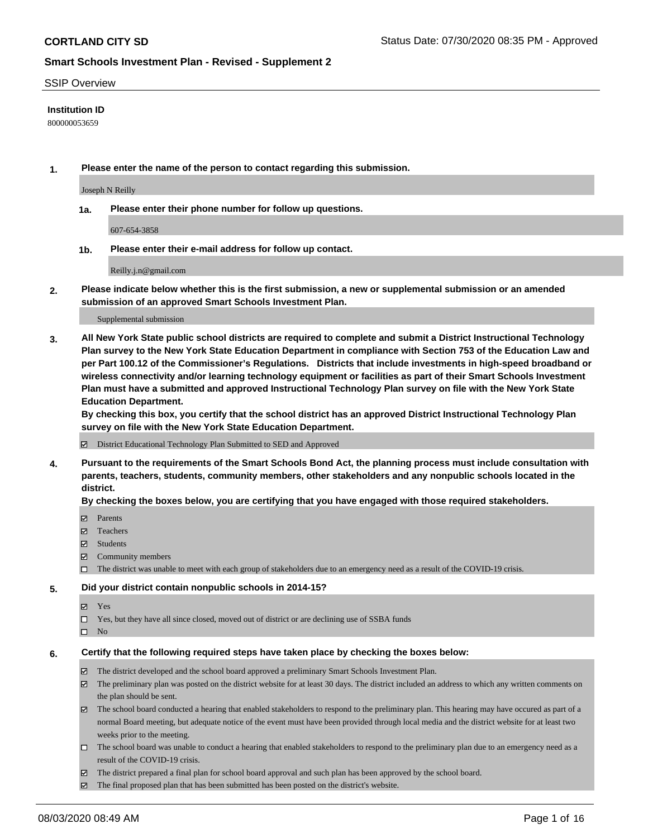#### SSIP Overview

#### **Institution ID**

800000053659

**1. Please enter the name of the person to contact regarding this submission.**

Joseph N Reilly

**1a. Please enter their phone number for follow up questions.**

607-654-3858

**1b. Please enter their e-mail address for follow up contact.**

Reilly.j.n@gmail.com

**2. Please indicate below whether this is the first submission, a new or supplemental submission or an amended submission of an approved Smart Schools Investment Plan.**

#### Supplemental submission

**3. All New York State public school districts are required to complete and submit a District Instructional Technology Plan survey to the New York State Education Department in compliance with Section 753 of the Education Law and per Part 100.12 of the Commissioner's Regulations. Districts that include investments in high-speed broadband or wireless connectivity and/or learning technology equipment or facilities as part of their Smart Schools Investment Plan must have a submitted and approved Instructional Technology Plan survey on file with the New York State Education Department.** 

**By checking this box, you certify that the school district has an approved District Instructional Technology Plan survey on file with the New York State Education Department.**

District Educational Technology Plan Submitted to SED and Approved

**4. Pursuant to the requirements of the Smart Schools Bond Act, the planning process must include consultation with parents, teachers, students, community members, other stakeholders and any nonpublic schools located in the district.** 

#### **By checking the boxes below, you are certifying that you have engaged with those required stakeholders.**

- **□** Parents
- Teachers
- Students
- $\boxtimes$  Community members
- The district was unable to meet with each group of stakeholders due to an emergency need as a result of the COVID-19 crisis.

#### **5. Did your district contain nonpublic schools in 2014-15?**

- **冈** Yes
- Yes, but they have all since closed, moved out of district or are declining use of SSBA funds
- $\square$  No

#### **6. Certify that the following required steps have taken place by checking the boxes below:**

- The district developed and the school board approved a preliminary Smart Schools Investment Plan.
- $\boxtimes$  The preliminary plan was posted on the district website for at least 30 days. The district included an address to which any written comments on the plan should be sent.
- The school board conducted a hearing that enabled stakeholders to respond to the preliminary plan. This hearing may have occured as part of a normal Board meeting, but adequate notice of the event must have been provided through local media and the district website for at least two weeks prior to the meeting.
- The school board was unable to conduct a hearing that enabled stakeholders to respond to the preliminary plan due to an emergency need as a result of the COVID-19 crisis.
- The district prepared a final plan for school board approval and such plan has been approved by the school board.
- $\boxtimes$  The final proposed plan that has been submitted has been posted on the district's website.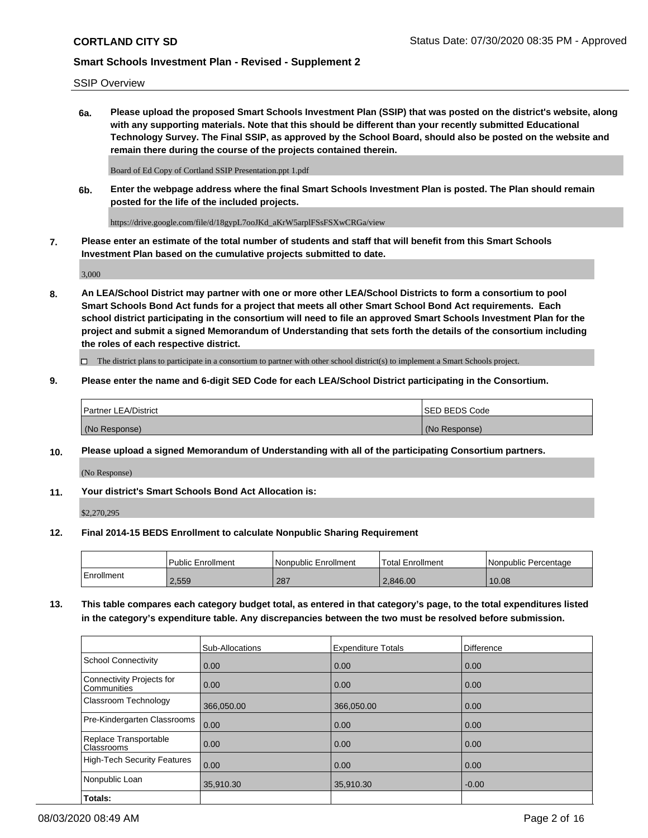SSIP Overview

**6a. Please upload the proposed Smart Schools Investment Plan (SSIP) that was posted on the district's website, along with any supporting materials. Note that this should be different than your recently submitted Educational Technology Survey. The Final SSIP, as approved by the School Board, should also be posted on the website and remain there during the course of the projects contained therein.**

Board of Ed Copy of Cortland SSIP Presentation.ppt 1.pdf

**6b. Enter the webpage address where the final Smart Schools Investment Plan is posted. The Plan should remain posted for the life of the included projects.**

https://drive.google.com/file/d/18gypL7ooJKd\_aKrW5arplFSsFSXwCRGa/view

**7. Please enter an estimate of the total number of students and staff that will benefit from this Smart Schools Investment Plan based on the cumulative projects submitted to date.**

3,000

**8. An LEA/School District may partner with one or more other LEA/School Districts to form a consortium to pool Smart Schools Bond Act funds for a project that meets all other Smart School Bond Act requirements. Each school district participating in the consortium will need to file an approved Smart Schools Investment Plan for the project and submit a signed Memorandum of Understanding that sets forth the details of the consortium including the roles of each respective district.**

 $\Box$  The district plans to participate in a consortium to partner with other school district(s) to implement a Smart Schools project.

# **9. Please enter the name and 6-digit SED Code for each LEA/School District participating in the Consortium.**

| Partner LEA/District | <b>ISED BEDS Code</b> |
|----------------------|-----------------------|
| (No Response)        | (No Response)         |

# **10. Please upload a signed Memorandum of Understanding with all of the participating Consortium partners.**

(No Response)

**11. Your district's Smart Schools Bond Act Allocation is:**

\$2,270,295

#### **12. Final 2014-15 BEDS Enrollment to calculate Nonpublic Sharing Requirement**

|            | Public Enrollment | Nonpublic Enrollment | Total Enrollment | l Nonpublic Percentage |
|------------|-------------------|----------------------|------------------|------------------------|
| Enrollment | 2,559             | 287                  | 2.846.00         | 10.08                  |

**13. This table compares each category budget total, as entered in that category's page, to the total expenditures listed in the category's expenditure table. Any discrepancies between the two must be resolved before submission.**

|                                          | Sub-Allocations | <b>Expenditure Totals</b> | Difference |
|------------------------------------------|-----------------|---------------------------|------------|
| <b>School Connectivity</b>               | 0.00            | 0.00                      | 0.00       |
| Connectivity Projects for<br>Communities | 0.00            | 0.00                      | 0.00       |
| Classroom Technology                     | 366,050.00      | 366,050.00                | 0.00       |
| Pre-Kindergarten Classrooms              | 0.00            | 0.00                      | 0.00       |
| Replace Transportable<br>Classrooms      | 0.00            | 0.00                      | 0.00       |
| <b>High-Tech Security Features</b>       | 0.00            | 0.00                      | 0.00       |
| Nonpublic Loan                           | 35,910.30       | 35,910.30                 | $-0.00$    |
| Totals:                                  |                 |                           |            |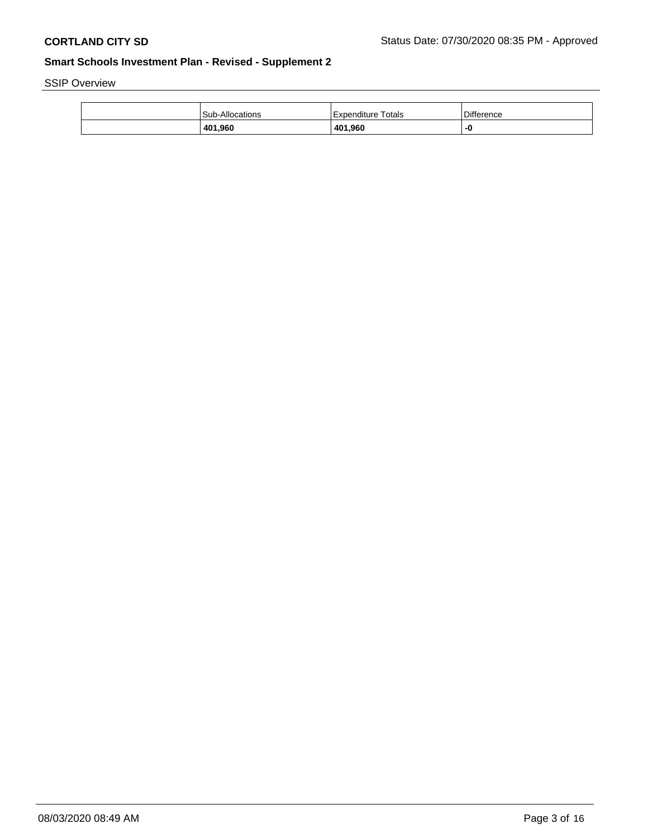SSIP Overview

| 401,960                | 401,960            |                   |
|------------------------|--------------------|-------------------|
| <b>Sub-Allocations</b> | Expenditure Totals | <b>Difference</b> |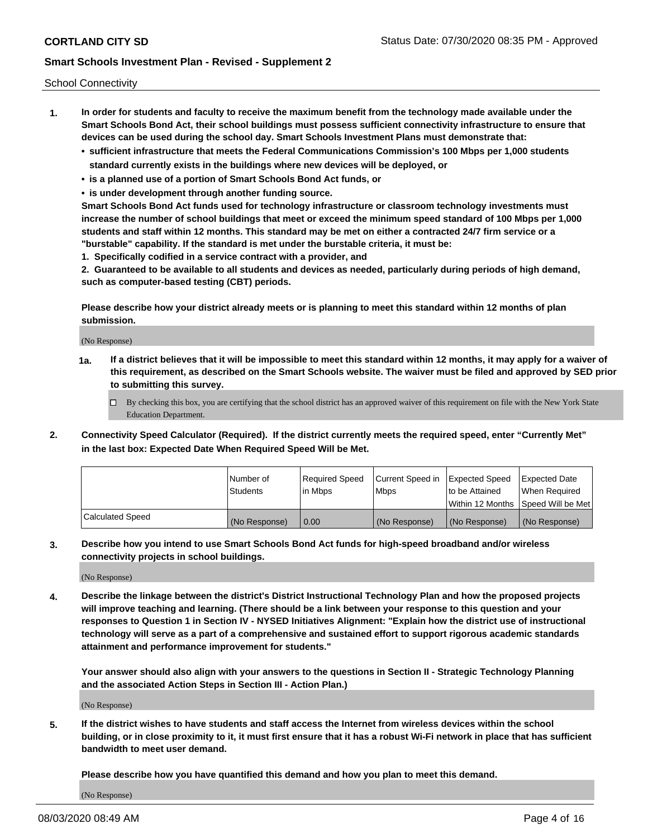School Connectivity

- **1. In order for students and faculty to receive the maximum benefit from the technology made available under the Smart Schools Bond Act, their school buildings must possess sufficient connectivity infrastructure to ensure that devices can be used during the school day. Smart Schools Investment Plans must demonstrate that:**
	- **• sufficient infrastructure that meets the Federal Communications Commission's 100 Mbps per 1,000 students standard currently exists in the buildings where new devices will be deployed, or**
	- **• is a planned use of a portion of Smart Schools Bond Act funds, or**
	- **• is under development through another funding source.**

**Smart Schools Bond Act funds used for technology infrastructure or classroom technology investments must increase the number of school buildings that meet or exceed the minimum speed standard of 100 Mbps per 1,000 students and staff within 12 months. This standard may be met on either a contracted 24/7 firm service or a "burstable" capability. If the standard is met under the burstable criteria, it must be:**

**1. Specifically codified in a service contract with a provider, and**

**2. Guaranteed to be available to all students and devices as needed, particularly during periods of high demand, such as computer-based testing (CBT) periods.**

**Please describe how your district already meets or is planning to meet this standard within 12 months of plan submission.**

(No Response)

**1a. If a district believes that it will be impossible to meet this standard within 12 months, it may apply for a waiver of this requirement, as described on the Smart Schools website. The waiver must be filed and approved by SED prior to submitting this survey.**

 $\Box$  By checking this box, you are certifying that the school district has an approved waiver of this requirement on file with the New York State Education Department.

**2. Connectivity Speed Calculator (Required). If the district currently meets the required speed, enter "Currently Met" in the last box: Expected Date When Required Speed Will be Met.**

|                  | l Number of     | Required Speed | Current Speed in | Expected Speed  | Expected Date                           |
|------------------|-----------------|----------------|------------------|-----------------|-----------------------------------------|
|                  | <b>Students</b> | In Mbps        | l Mbps           | to be Attained  | When Required                           |
|                  |                 |                |                  |                 | l Within 12 Months ISpeed Will be Met l |
| Calculated Speed | (No Response)   | 0.00           | (No Response)    | l (No Response) | l (No Response)                         |

**3. Describe how you intend to use Smart Schools Bond Act funds for high-speed broadband and/or wireless connectivity projects in school buildings.**

(No Response)

**4. Describe the linkage between the district's District Instructional Technology Plan and how the proposed projects will improve teaching and learning. (There should be a link between your response to this question and your responses to Question 1 in Section IV - NYSED Initiatives Alignment: "Explain how the district use of instructional technology will serve as a part of a comprehensive and sustained effort to support rigorous academic standards attainment and performance improvement for students."** 

**Your answer should also align with your answers to the questions in Section II - Strategic Technology Planning and the associated Action Steps in Section III - Action Plan.)**

(No Response)

**5. If the district wishes to have students and staff access the Internet from wireless devices within the school building, or in close proximity to it, it must first ensure that it has a robust Wi-Fi network in place that has sufficient bandwidth to meet user demand.**

**Please describe how you have quantified this demand and how you plan to meet this demand.**

(No Response)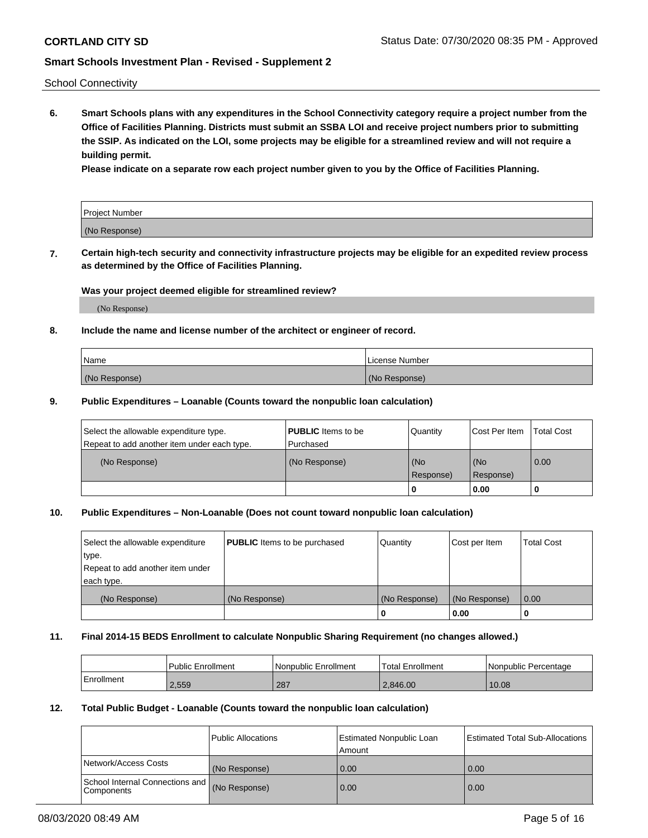School Connectivity

**6. Smart Schools plans with any expenditures in the School Connectivity category require a project number from the Office of Facilities Planning. Districts must submit an SSBA LOI and receive project numbers prior to submitting the SSIP. As indicated on the LOI, some projects may be eligible for a streamlined review and will not require a building permit.**

**Please indicate on a separate row each project number given to you by the Office of Facilities Planning.**

| Project Number |  |
|----------------|--|
| (No Response)  |  |

**7. Certain high-tech security and connectivity infrastructure projects may be eligible for an expedited review process as determined by the Office of Facilities Planning.**

# **Was your project deemed eligible for streamlined review?**

(No Response)

# **8. Include the name and license number of the architect or engineer of record.**

| Name          | License Number |
|---------------|----------------|
| (No Response) | (No Response)  |

#### **9. Public Expenditures – Loanable (Counts toward the nonpublic loan calculation)**

| Select the allowable expenditure type.<br>Repeat to add another item under each type. | <b>PUBLIC</b> Items to be<br>l Purchased | Quantity           | Cost Per Item    | <b>Total Cost</b> |
|---------------------------------------------------------------------------------------|------------------------------------------|--------------------|------------------|-------------------|
| (No Response)                                                                         | (No Response)                            | l (No<br>Response) | (No<br>Response) | $\overline{0.00}$ |
|                                                                                       |                                          | O                  | 0.00             |                   |

# **10. Public Expenditures – Non-Loanable (Does not count toward nonpublic loan calculation)**

| Select the allowable expenditure<br>type.      | <b>PUBLIC</b> Items to be purchased | Quantity      | Cost per Item | <b>Total Cost</b> |
|------------------------------------------------|-------------------------------------|---------------|---------------|-------------------|
| Repeat to add another item under<br>each type. |                                     |               |               |                   |
| (No Response)                                  | (No Response)                       | (No Response) | (No Response) | 0.00              |
|                                                |                                     |               | 0.00          |                   |

#### **11. Final 2014-15 BEDS Enrollment to calculate Nonpublic Sharing Requirement (no changes allowed.)**

|            | Public Enrollment | Nonpublic Enrollment | 'Total Enrollment | l Nonpublic Percentage |
|------------|-------------------|----------------------|-------------------|------------------------|
| Enrollment | 2,559             | 287                  | 2.846.00          | 10.08                  |

### **12. Total Public Budget - Loanable (Counts toward the nonpublic loan calculation)**

|                                                      | Public Allocations | <b>Estimated Nonpublic Loan</b><br>Amount | Estimated Total Sub-Allocations |
|------------------------------------------------------|--------------------|-------------------------------------------|---------------------------------|
| Network/Access Costs                                 | (No Response)      | 0.00                                      | 0.00                            |
| School Internal Connections and<br><b>Components</b> | (No Response)      | 0.00                                      | 0.00                            |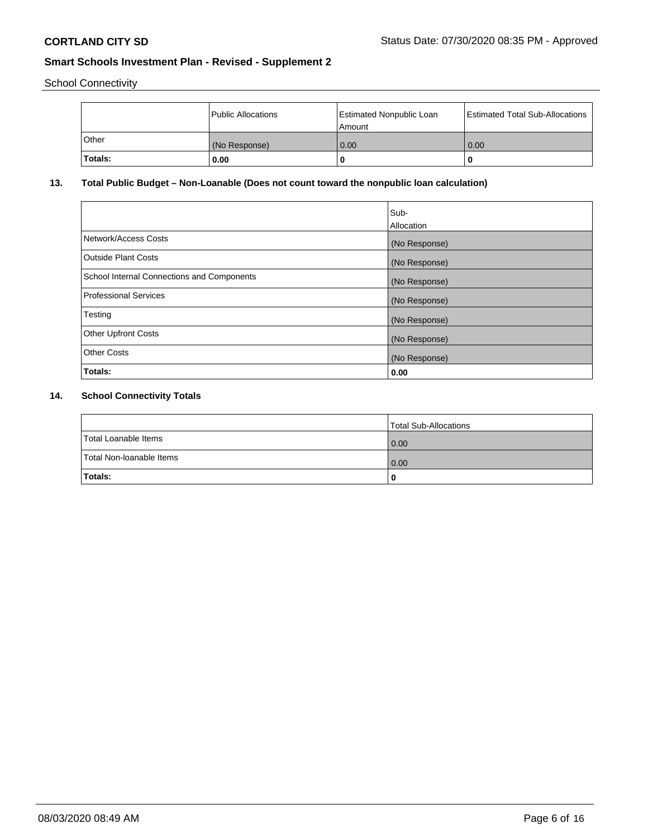School Connectivity

|         | Public Allocations | <b>Estimated Nonpublic Loan</b><br>l Amount | <b>Estimated Total Sub-Allocations</b> |
|---------|--------------------|---------------------------------------------|----------------------------------------|
| l Other | (No Response)      | 0.00                                        | 0.00                                   |
| Totals: | 0.00               | 0                                           |                                        |

# **13. Total Public Budget – Non-Loanable (Does not count toward the nonpublic loan calculation)**

|                                                   | Sub-<br>Allocation |
|---------------------------------------------------|--------------------|
| Network/Access Costs                              | (No Response)      |
| <b>Outside Plant Costs</b>                        | (No Response)      |
| <b>School Internal Connections and Components</b> | (No Response)      |
| <b>Professional Services</b>                      | (No Response)      |
| Testing                                           | (No Response)      |
| <b>Other Upfront Costs</b>                        | (No Response)      |
| <b>Other Costs</b>                                | (No Response)      |
| Totals:                                           | 0.00               |

# **14. School Connectivity Totals**

|                          | Total Sub-Allocations |
|--------------------------|-----------------------|
| Total Loanable Items     | 0.00                  |
| Total Non-Ioanable Items | 0.00                  |
| Totals:                  | 0                     |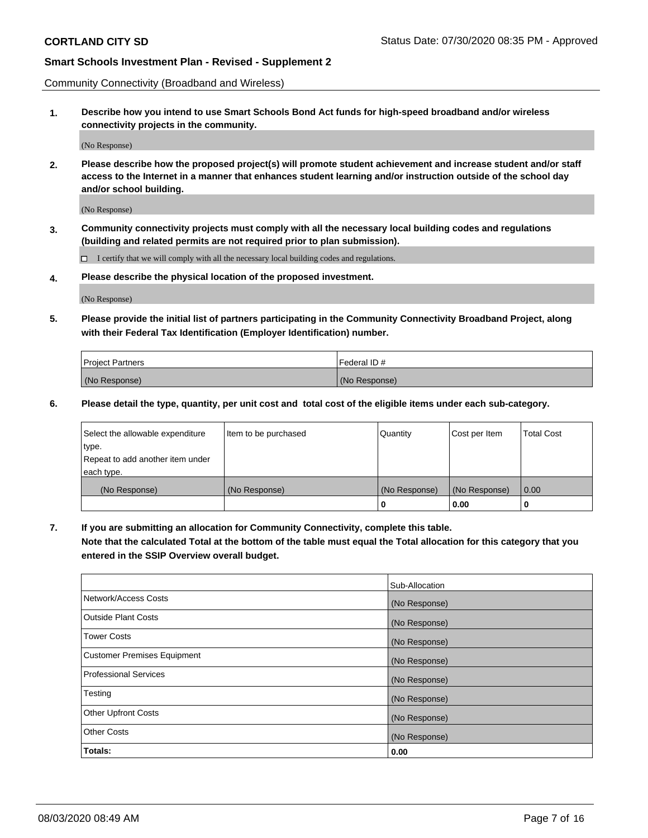Community Connectivity (Broadband and Wireless)

**1. Describe how you intend to use Smart Schools Bond Act funds for high-speed broadband and/or wireless connectivity projects in the community.**

(No Response)

**2. Please describe how the proposed project(s) will promote student achievement and increase student and/or staff access to the Internet in a manner that enhances student learning and/or instruction outside of the school day and/or school building.**

(No Response)

**3. Community connectivity projects must comply with all the necessary local building codes and regulations (building and related permits are not required prior to plan submission).**

 $\Box$  I certify that we will comply with all the necessary local building codes and regulations.

**4. Please describe the physical location of the proposed investment.**

(No Response)

**5. Please provide the initial list of partners participating in the Community Connectivity Broadband Project, along with their Federal Tax Identification (Employer Identification) number.**

| <b>Project Partners</b> | l Federal ID # |
|-------------------------|----------------|
| (No Response)           | (No Response)  |

**6. Please detail the type, quantity, per unit cost and total cost of the eligible items under each sub-category.**

| Select the allowable expenditure | Item to be purchased | Quantity      | Cost per Item | <b>Total Cost</b> |
|----------------------------------|----------------------|---------------|---------------|-------------------|
| type.                            |                      |               |               |                   |
| Repeat to add another item under |                      |               |               |                   |
| each type.                       |                      |               |               |                   |
| (No Response)                    | (No Response)        | (No Response) | (No Response) | 0.00              |
|                                  |                      | U             | 0.00          | -0                |

**7. If you are submitting an allocation for Community Connectivity, complete this table.**

**Note that the calculated Total at the bottom of the table must equal the Total allocation for this category that you entered in the SSIP Overview overall budget.**

|                                    | Sub-Allocation |
|------------------------------------|----------------|
| Network/Access Costs               | (No Response)  |
| Outside Plant Costs                | (No Response)  |
| <b>Tower Costs</b>                 | (No Response)  |
| <b>Customer Premises Equipment</b> | (No Response)  |
| <b>Professional Services</b>       | (No Response)  |
| Testing                            | (No Response)  |
| <b>Other Upfront Costs</b>         | (No Response)  |
| <b>Other Costs</b>                 | (No Response)  |
| Totals:                            | 0.00           |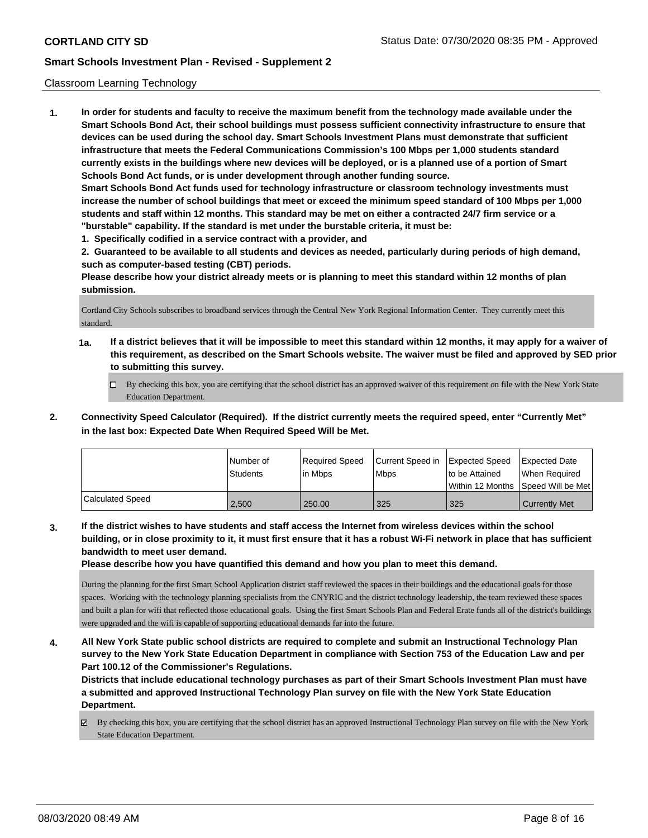#### Classroom Learning Technology

**1. In order for students and faculty to receive the maximum benefit from the technology made available under the Smart Schools Bond Act, their school buildings must possess sufficient connectivity infrastructure to ensure that devices can be used during the school day. Smart Schools Investment Plans must demonstrate that sufficient infrastructure that meets the Federal Communications Commission's 100 Mbps per 1,000 students standard currently exists in the buildings where new devices will be deployed, or is a planned use of a portion of Smart Schools Bond Act funds, or is under development through another funding source. Smart Schools Bond Act funds used for technology infrastructure or classroom technology investments must increase the number of school buildings that meet or exceed the minimum speed standard of 100 Mbps per 1,000 students and staff within 12 months. This standard may be met on either a contracted 24/7 firm service or a "burstable" capability. If the standard is met under the burstable criteria, it must be:**

**1. Specifically codified in a service contract with a provider, and**

**2. Guaranteed to be available to all students and devices as needed, particularly during periods of high demand, such as computer-based testing (CBT) periods.**

**Please describe how your district already meets or is planning to meet this standard within 12 months of plan submission.**

Cortland City Schools subscribes to broadband services through the Central New York Regional Information Center. They currently meet this standard.

- **1a. If a district believes that it will be impossible to meet this standard within 12 months, it may apply for a waiver of this requirement, as described on the Smart Schools website. The waiver must be filed and approved by SED prior to submitting this survey.**
	- By checking this box, you are certifying that the school district has an approved waiver of this requirement on file with the New York State Education Department.
- **2. Connectivity Speed Calculator (Required). If the district currently meets the required speed, enter "Currently Met" in the last box: Expected Date When Required Speed Will be Met.**

|                  | l Number of<br><b>Students</b> | Required Speed<br>l in Mbps | Current Speed in<br>l Mbps | <b>Expected Speed</b><br>to be Attained | <b>Expected Date</b><br>When Required<br> Within 12 Months  Speed Will be Met |
|------------------|--------------------------------|-----------------------------|----------------------------|-----------------------------------------|-------------------------------------------------------------------------------|
| Calculated Speed | 2.500                          | 250.00                      | 325                        | 325                                     | <b>Currently Met</b>                                                          |

**3. If the district wishes to have students and staff access the Internet from wireless devices within the school building, or in close proximity to it, it must first ensure that it has a robust Wi-Fi network in place that has sufficient bandwidth to meet user demand.**

**Please describe how you have quantified this demand and how you plan to meet this demand.**

During the planning for the first Smart School Application district staff reviewed the spaces in their buildings and the educational goals for those spaces. Working with the technology planning specialists from the CNYRIC and the district technology leadership, the team reviewed these spaces and built a plan for wifi that reflected those educational goals. Using the first Smart Schools Plan and Federal Erate funds all of the district's buildings were upgraded and the wifi is capable of supporting educational demands far into the future.

**4. All New York State public school districts are required to complete and submit an Instructional Technology Plan survey to the New York State Education Department in compliance with Section 753 of the Education Law and per Part 100.12 of the Commissioner's Regulations.**

**Districts that include educational technology purchases as part of their Smart Schools Investment Plan must have a submitted and approved Instructional Technology Plan survey on file with the New York State Education Department.**

By checking this box, you are certifying that the school district has an approved Instructional Technology Plan survey on file with the New York State Education Department.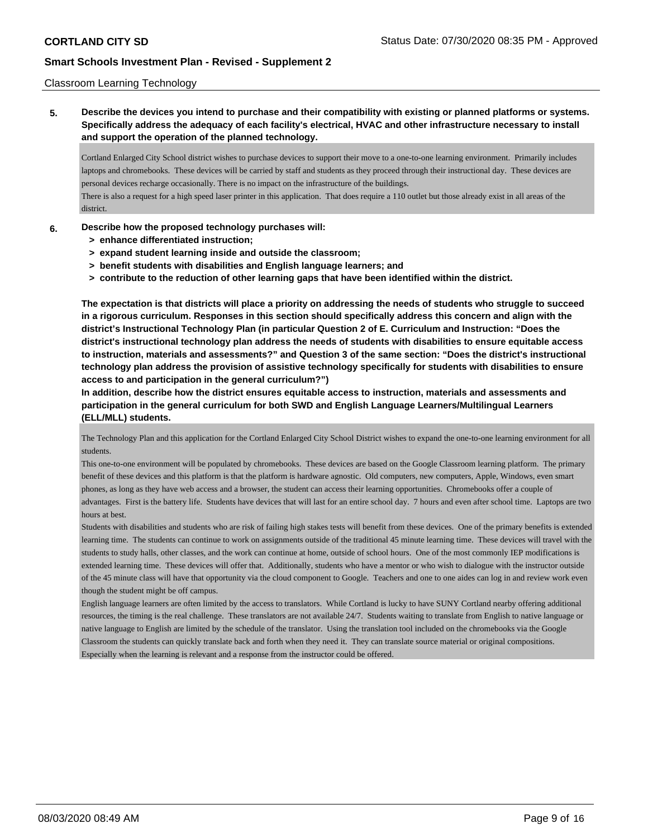#### Classroom Learning Technology

**5. Describe the devices you intend to purchase and their compatibility with existing or planned platforms or systems. Specifically address the adequacy of each facility's electrical, HVAC and other infrastructure necessary to install and support the operation of the planned technology.**

Cortland Enlarged City School district wishes to purchase devices to support their move to a one-to-one learning environment. Primarily includes laptops and chromebooks. These devices will be carried by staff and students as they proceed through their instructional day. These devices are personal devices recharge occasionally. There is no impact on the infrastructure of the buildings.

There is also a request for a high speed laser printer in this application. That does require a 110 outlet but those already exist in all areas of the district.

#### **6. Describe how the proposed technology purchases will:**

- **> enhance differentiated instruction;**
- **> expand student learning inside and outside the classroom;**
- **> benefit students with disabilities and English language learners; and**
- **> contribute to the reduction of other learning gaps that have been identified within the district.**

**The expectation is that districts will place a priority on addressing the needs of students who struggle to succeed in a rigorous curriculum. Responses in this section should specifically address this concern and align with the district's Instructional Technology Plan (in particular Question 2 of E. Curriculum and Instruction: "Does the district's instructional technology plan address the needs of students with disabilities to ensure equitable access to instruction, materials and assessments?" and Question 3 of the same section: "Does the district's instructional technology plan address the provision of assistive technology specifically for students with disabilities to ensure access to and participation in the general curriculum?")**

**In addition, describe how the district ensures equitable access to instruction, materials and assessments and participation in the general curriculum for both SWD and English Language Learners/Multilingual Learners (ELL/MLL) students.**

The Technology Plan and this application for the Cortland Enlarged City School District wishes to expand the one-to-one learning environment for all students.

This one-to-one environment will be populated by chromebooks. These devices are based on the Google Classroom learning platform. The primary benefit of these devices and this platform is that the platform is hardware agnostic. Old computers, new computers, Apple, Windows, even smart phones, as long as they have web access and a browser, the student can access their learning opportunities. Chromebooks offer a couple of advantages. First is the battery life. Students have devices that will last for an entire school day. 7 hours and even after school time. Laptops are two hours at best.

Students with disabilities and students who are risk of failing high stakes tests will benefit from these devices. One of the primary benefits is extended learning time. The students can continue to work on assignments outside of the traditional 45 minute learning time. These devices will travel with the students to study halls, other classes, and the work can continue at home, outside of school hours. One of the most commonly IEP modifications is extended learning time. These devices will offer that. Additionally, students who have a mentor or who wish to dialogue with the instructor outside of the 45 minute class will have that opportunity via the cloud component to Google. Teachers and one to one aides can log in and review work even though the student might be off campus.

English language learners are often limited by the access to translators. While Cortland is lucky to have SUNY Cortland nearby offering additional resources, the timing is the real challenge. These translators are not available 24/7. Students waiting to translate from English to native language or native language to English are limited by the schedule of the translator. Using the translation tool included on the chromebooks via the Google Classroom the students can quickly translate back and forth when they need it. They can translate source material or original compositions. Especially when the learning is relevant and a response from the instructor could be offered.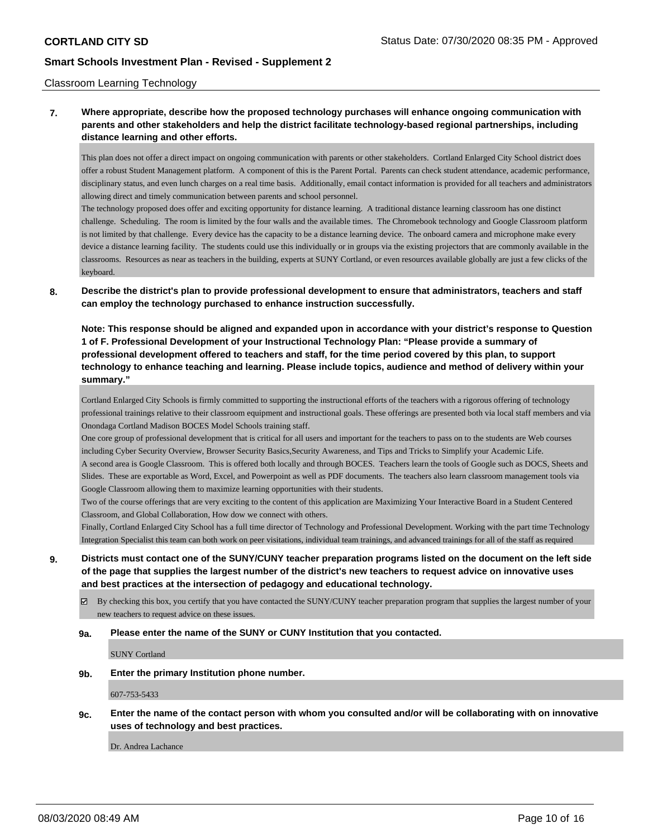#### Classroom Learning Technology

# **7. Where appropriate, describe how the proposed technology purchases will enhance ongoing communication with parents and other stakeholders and help the district facilitate technology-based regional partnerships, including distance learning and other efforts.**

This plan does not offer a direct impact on ongoing communication with parents or other stakeholders. Cortland Enlarged City School district does offer a robust Student Management platform. A component of this is the Parent Portal. Parents can check student attendance, academic performance, disciplinary status, and even lunch charges on a real time basis. Additionally, email contact information is provided for all teachers and administrators allowing direct and timely communication between parents and school personnel.

The technology proposed does offer and exciting opportunity for distance learning. A traditional distance learning classroom has one distinct challenge. Scheduling. The room is limited by the four walls and the available times. The Chromebook technology and Google Classroom platform is not limited by that challenge. Every device has the capacity to be a distance learning device. The onboard camera and microphone make every device a distance learning facility. The students could use this individually or in groups via the existing projectors that are commonly available in the classrooms. Resources as near as teachers in the building, experts at SUNY Cortland, or even resources available globally are just a few clicks of the keyboard.

# **8. Describe the district's plan to provide professional development to ensure that administrators, teachers and staff can employ the technology purchased to enhance instruction successfully.**

**Note: This response should be aligned and expanded upon in accordance with your district's response to Question 1 of F. Professional Development of your Instructional Technology Plan: "Please provide a summary of professional development offered to teachers and staff, for the time period covered by this plan, to support technology to enhance teaching and learning. Please include topics, audience and method of delivery within your summary."**

Cortland Enlarged City Schools is firmly committed to supporting the instructional efforts of the teachers with a rigorous offering of technology professional trainings relative to their classroom equipment and instructional goals. These offerings are presented both via local staff members and via Onondaga Cortland Madison BOCES Model Schools training staff.

One core group of professional development that is critical for all users and important for the teachers to pass on to the students are Web courses including Cyber Security Overview, Browser Security Basics,Security Awareness, and Tips and Tricks to Simplify your Academic Life. A second area is Google Classroom. This is offered both locally and through BOCES. Teachers learn the tools of Google such as DOCS, Sheets and Slides. These are exportable as Word, Excel, and Powerpoint as well as PDF documents. The teachers also learn classroom management tools via Google Classroom allowing them to maximize learning opportunities with their students.

Two of the course offerings that are very exciting to the content of this application are Maximizing Your Interactive Board in a Student Centered Classroom, and Global Collaboration, How dow we connect with others.

Finally, Cortland Enlarged City School has a full time director of Technology and Professional Development. Working with the part time Technology Integration Specialist this team can both work on peer visitations, individual team trainings, and advanced trainings for all of the staff as required

**9. Districts must contact one of the SUNY/CUNY teacher preparation programs listed on the document on the left side of the page that supplies the largest number of the district's new teachers to request advice on innovative uses and best practices at the intersection of pedagogy and educational technology.**

 $\boxtimes$  By checking this box, you certify that you have contacted the SUNY/CUNY teacher preparation program that supplies the largest number of your new teachers to request advice on these issues.

#### **9a. Please enter the name of the SUNY or CUNY Institution that you contacted.**

SUNY Cortland

#### **9b. Enter the primary Institution phone number.**

607-753-5433

# **9c. Enter the name of the contact person with whom you consulted and/or will be collaborating with on innovative uses of technology and best practices.**

Dr. Andrea Lachance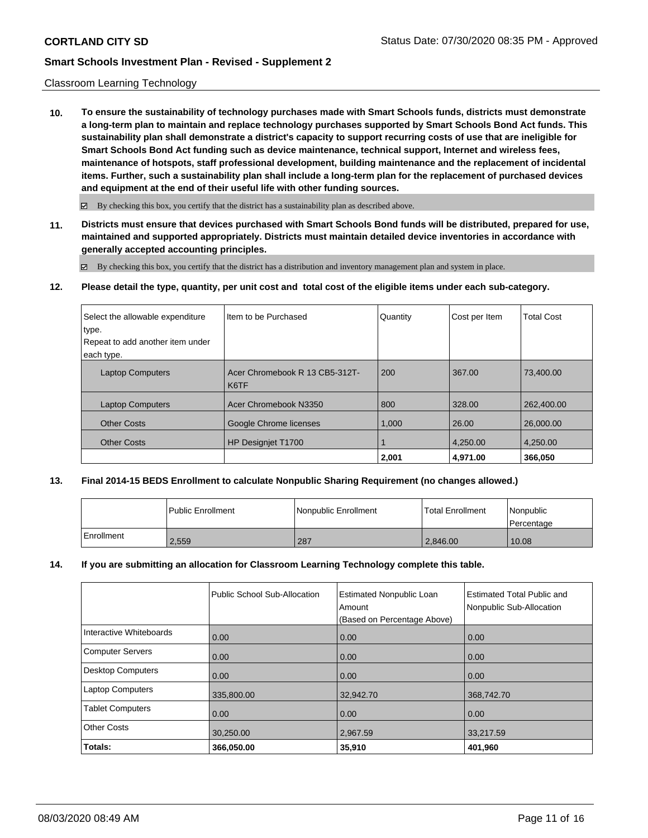#### Classroom Learning Technology

**10. To ensure the sustainability of technology purchases made with Smart Schools funds, districts must demonstrate a long-term plan to maintain and replace technology purchases supported by Smart Schools Bond Act funds. This sustainability plan shall demonstrate a district's capacity to support recurring costs of use that are ineligible for Smart Schools Bond Act funding such as device maintenance, technical support, Internet and wireless fees, maintenance of hotspots, staff professional development, building maintenance and the replacement of incidental items. Further, such a sustainability plan shall include a long-term plan for the replacement of purchased devices and equipment at the end of their useful life with other funding sources.**

 $\boxtimes$  By checking this box, you certify that the district has a sustainability plan as described above.

**11. Districts must ensure that devices purchased with Smart Schools Bond funds will be distributed, prepared for use, maintained and supported appropriately. Districts must maintain detailed device inventories in accordance with generally accepted accounting principles.**

By checking this box, you certify that the district has a distribution and inventory management plan and system in place.

**12. Please detail the type, quantity, per unit cost and total cost of the eligible items under each sub-category.**

| Select the allowable expenditure<br>type.<br>Repeat to add another item under<br>each type. | Iltem to be Purchased                  | Quantity | Cost per Item | <b>Total Cost</b> |
|---------------------------------------------------------------------------------------------|----------------------------------------|----------|---------------|-------------------|
| <b>Laptop Computers</b>                                                                     | Acer Chromebook R 13 CB5-312T-<br>K6TF | 200      | 367.00        | 73,400.00         |
| <b>Laptop Computers</b>                                                                     | Acer Chromebook N3350                  | 800      | 328.00        | 262,400.00        |
| <b>Other Costs</b>                                                                          | Google Chrome licenses                 | 1,000    | 26.00         | 26,000,00         |
| <b>Other Costs</b>                                                                          | HP Designiet T1700                     |          | 4,250.00      | 4,250.00          |
|                                                                                             |                                        | 2,001    | 4.971.00      | 366,050           |

# **13. Final 2014-15 BEDS Enrollment to calculate Nonpublic Sharing Requirement (no changes allowed.)**

|            | Public Enrollment | Nonpublic Enrollment | <b>Total Enrollment</b> | Nonpublic<br>l Percentage |
|------------|-------------------|----------------------|-------------------------|---------------------------|
| Enrollment | 2,559             | 287                  | 2,846.00                | 10.08                     |

#### **14. If you are submitting an allocation for Classroom Learning Technology complete this table.**

|                         | Public School Sub-Allocation | <b>Estimated Nonpublic Loan</b><br>Amount<br>(Based on Percentage Above) | <b>Estimated Total Public and</b><br>Nonpublic Sub-Allocation |
|-------------------------|------------------------------|--------------------------------------------------------------------------|---------------------------------------------------------------|
| Interactive Whiteboards | 0.00                         | 0.00                                                                     | 0.00                                                          |
| Computer Servers        | 0.00                         | 0.00                                                                     | 0.00                                                          |
| Desktop Computers       | 0.00                         | 0.00                                                                     | 0.00                                                          |
| <b>Laptop Computers</b> | 335,800.00                   | 32,942.70                                                                | 368,742.70                                                    |
| <b>Tablet Computers</b> | 0.00                         | 0.00                                                                     | 0.00                                                          |
| Other Costs             | 30,250.00                    | 2,967.59                                                                 | 33,217.59                                                     |
| Totals:                 | 366,050.00                   | 35,910                                                                   | 401,960                                                       |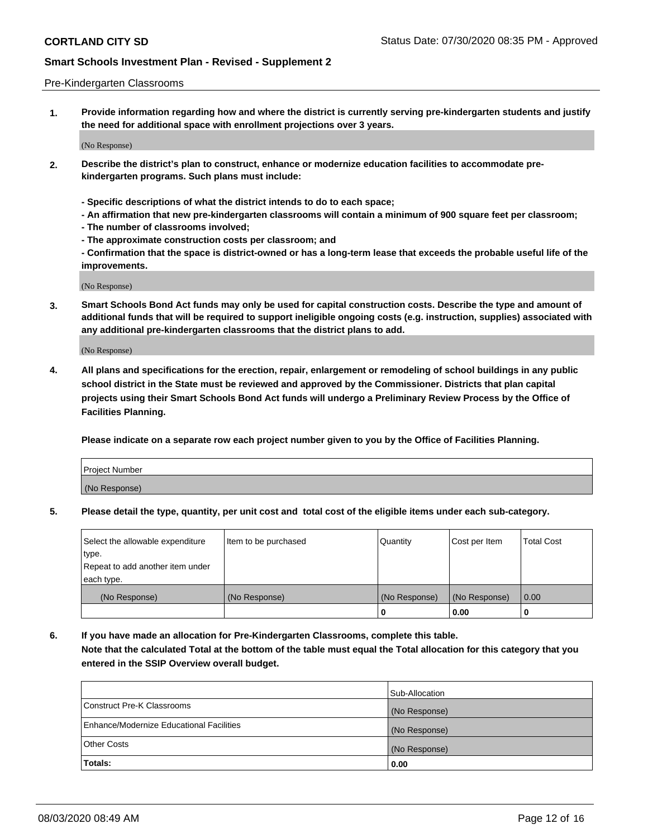#### Pre-Kindergarten Classrooms

**1. Provide information regarding how and where the district is currently serving pre-kindergarten students and justify the need for additional space with enrollment projections over 3 years.**

(No Response)

- **2. Describe the district's plan to construct, enhance or modernize education facilities to accommodate prekindergarten programs. Such plans must include:**
	- **Specific descriptions of what the district intends to do to each space;**
	- **An affirmation that new pre-kindergarten classrooms will contain a minimum of 900 square feet per classroom;**
	- **The number of classrooms involved;**
	- **The approximate construction costs per classroom; and**
	- **Confirmation that the space is district-owned or has a long-term lease that exceeds the probable useful life of the improvements.**

(No Response)

**3. Smart Schools Bond Act funds may only be used for capital construction costs. Describe the type and amount of additional funds that will be required to support ineligible ongoing costs (e.g. instruction, supplies) associated with any additional pre-kindergarten classrooms that the district plans to add.**

(No Response)

**4. All plans and specifications for the erection, repair, enlargement or remodeling of school buildings in any public school district in the State must be reviewed and approved by the Commissioner. Districts that plan capital projects using their Smart Schools Bond Act funds will undergo a Preliminary Review Process by the Office of Facilities Planning.**

**Please indicate on a separate row each project number given to you by the Office of Facilities Planning.**

| Project Number |  |
|----------------|--|
| (No Response)  |  |
|                |  |

**5. Please detail the type, quantity, per unit cost and total cost of the eligible items under each sub-category.**

| Select the allowable expenditure | Item to be purchased | Quantity      | Cost per Item | <b>Total Cost</b> |
|----------------------------------|----------------------|---------------|---------------|-------------------|
| type.                            |                      |               |               |                   |
| Repeat to add another item under |                      |               |               |                   |
| each type.                       |                      |               |               |                   |
| (No Response)                    | (No Response)        | (No Response) | (No Response) | 0.00              |
|                                  |                      | U             | 0.00          |                   |

**6. If you have made an allocation for Pre-Kindergarten Classrooms, complete this table. Note that the calculated Total at the bottom of the table must equal the Total allocation for this category that you entered in the SSIP Overview overall budget.**

|                                          | Sub-Allocation |
|------------------------------------------|----------------|
| Construct Pre-K Classrooms               | (No Response)  |
| Enhance/Modernize Educational Facilities | (No Response)  |
| <b>Other Costs</b>                       | (No Response)  |
| Totals:                                  | 0.00           |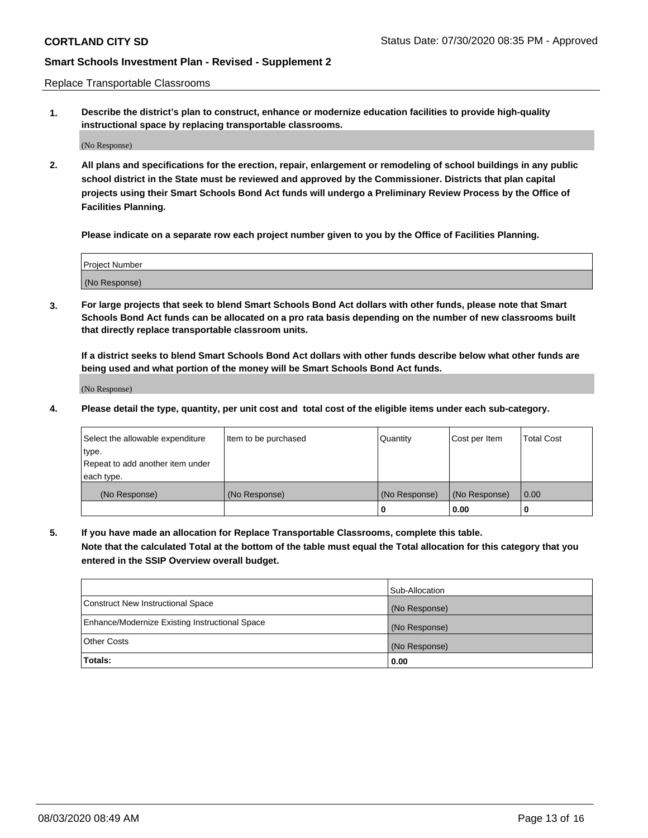Replace Transportable Classrooms

**1. Describe the district's plan to construct, enhance or modernize education facilities to provide high-quality instructional space by replacing transportable classrooms.**

(No Response)

**2. All plans and specifications for the erection, repair, enlargement or remodeling of school buildings in any public school district in the State must be reviewed and approved by the Commissioner. Districts that plan capital projects using their Smart Schools Bond Act funds will undergo a Preliminary Review Process by the Office of Facilities Planning.**

**Please indicate on a separate row each project number given to you by the Office of Facilities Planning.**

| Project Number |  |
|----------------|--|
|                |  |
|                |  |
|                |  |
|                |  |
| (No Response)  |  |
|                |  |
|                |  |
|                |  |

**3. For large projects that seek to blend Smart Schools Bond Act dollars with other funds, please note that Smart Schools Bond Act funds can be allocated on a pro rata basis depending on the number of new classrooms built that directly replace transportable classroom units.**

**If a district seeks to blend Smart Schools Bond Act dollars with other funds describe below what other funds are being used and what portion of the money will be Smart Schools Bond Act funds.**

(No Response)

**4. Please detail the type, quantity, per unit cost and total cost of the eligible items under each sub-category.**

| Select the allowable expenditure | Item to be purchased | Quantity      | Cost per Item | <b>Total Cost</b> |
|----------------------------------|----------------------|---------------|---------------|-------------------|
| ∣type.                           |                      |               |               |                   |
| Repeat to add another item under |                      |               |               |                   |
| each type.                       |                      |               |               |                   |
| (No Response)                    | (No Response)        | (No Response) | (No Response) | 0.00              |
|                                  |                      | 0             | 0.00          |                   |

**5. If you have made an allocation for Replace Transportable Classrooms, complete this table. Note that the calculated Total at the bottom of the table must equal the Total allocation for this category that you entered in the SSIP Overview overall budget.**

|                                                | Sub-Allocation |
|------------------------------------------------|----------------|
| Construct New Instructional Space              | (No Response)  |
| Enhance/Modernize Existing Instructional Space | (No Response)  |
| Other Costs                                    | (No Response)  |
| Totals:                                        | 0.00           |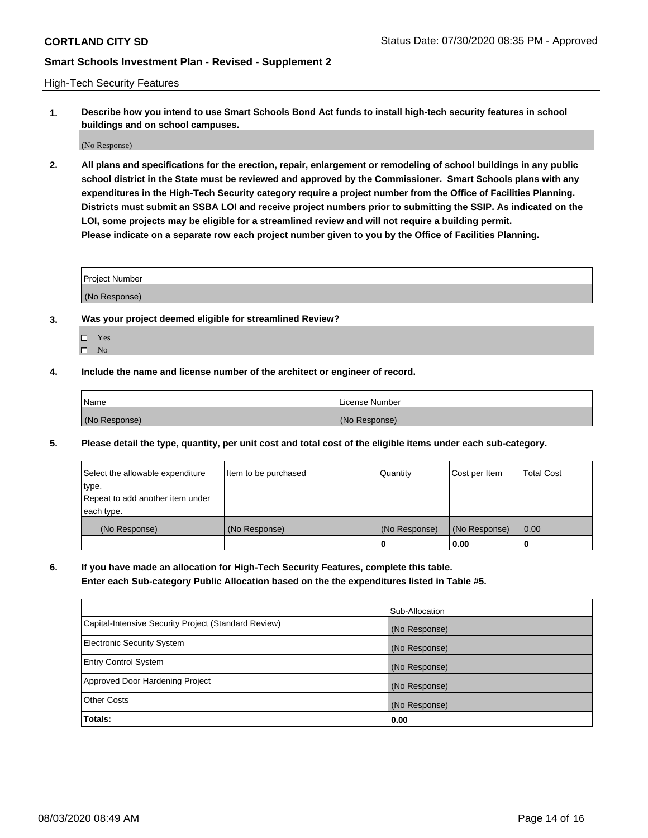High-Tech Security Features

**1. Describe how you intend to use Smart Schools Bond Act funds to install high-tech security features in school buildings and on school campuses.**

(No Response)

**2. All plans and specifications for the erection, repair, enlargement or remodeling of school buildings in any public school district in the State must be reviewed and approved by the Commissioner. Smart Schools plans with any expenditures in the High-Tech Security category require a project number from the Office of Facilities Planning. Districts must submit an SSBA LOI and receive project numbers prior to submitting the SSIP. As indicated on the LOI, some projects may be eligible for a streamlined review and will not require a building permit. Please indicate on a separate row each project number given to you by the Office of Facilities Planning.**

| <b>Project Number</b> |  |
|-----------------------|--|
| (No Response)         |  |

- **3. Was your project deemed eligible for streamlined Review?**
	- Yes
	- $\hfill \square$  No
- **4. Include the name and license number of the architect or engineer of record.**

| <b>Name</b>   | License Number |
|---------------|----------------|
| (No Response) | (No Response)  |

**5. Please detail the type, quantity, per unit cost and total cost of the eligible items under each sub-category.**

| Select the allowable expenditure | Item to be purchased | Quantity      | Cost per Item | Total Cost |
|----------------------------------|----------------------|---------------|---------------|------------|
| 'type.                           |                      |               |               |            |
| Repeat to add another item under |                      |               |               |            |
| each type.                       |                      |               |               |            |
| (No Response)                    | (No Response)        | (No Response) | (No Response) | 0.00       |
|                                  |                      | u             | 0.00          |            |

**6. If you have made an allocation for High-Tech Security Features, complete this table.**

**Enter each Sub-category Public Allocation based on the the expenditures listed in Table #5.**

|                                                      | Sub-Allocation |
|------------------------------------------------------|----------------|
| Capital-Intensive Security Project (Standard Review) | (No Response)  |
| <b>Electronic Security System</b>                    | (No Response)  |
| <b>Entry Control System</b>                          | (No Response)  |
| Approved Door Hardening Project                      | (No Response)  |
| <b>Other Costs</b>                                   | (No Response)  |
| Totals:                                              | 0.00           |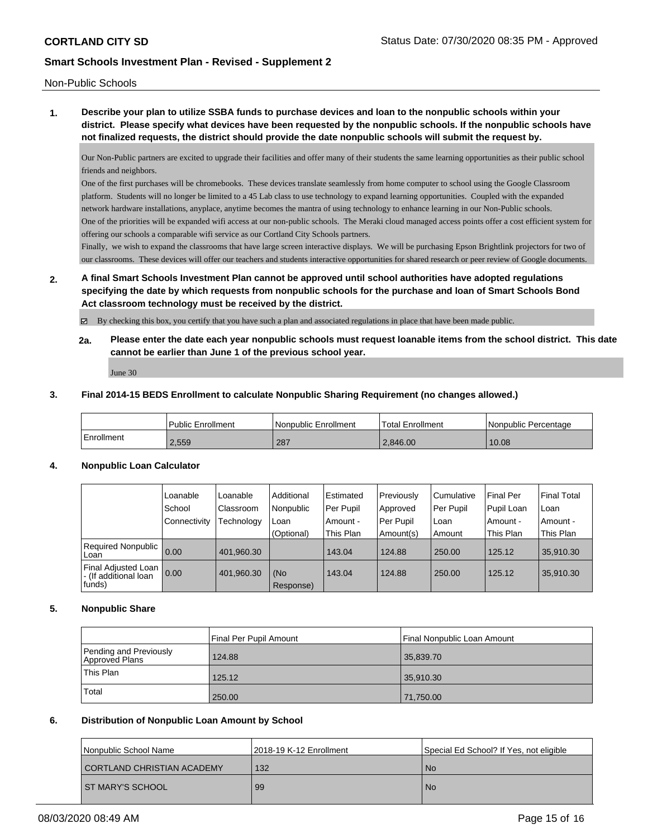Non-Public Schools

**1. Describe your plan to utilize SSBA funds to purchase devices and loan to the nonpublic schools within your district. Please specify what devices have been requested by the nonpublic schools. If the nonpublic schools have not finalized requests, the district should provide the date nonpublic schools will submit the request by.**

Our Non-Public partners are excited to upgrade their facilities and offer many of their students the same learning opportunities as their public school friends and neighbors.

One of the first purchases will be chromebooks. These devices translate seamlessly from home computer to school using the Google Classroom platform. Students will no longer be limited to a 45 Lab class to use technology to expand learning opportunities. Coupled with the expanded network hardware installations, anyplace, anytime becomes the mantra of using technology to enhance learning in our Non-Public schools. One of the priorities will be expanded wifi access at our non-public schools. The Meraki cloud managed access points offer a cost efficient system for offering our schools a comparable wifi service as our Cortland City Schools partners.

Finally, we wish to expand the classrooms that have large screen interactive displays. We will be purchasing Epson Brightlink projectors for two of our classrooms. These devices will offer our teachers and students interactive opportunities for shared research or peer review of Google documents.

**2. A final Smart Schools Investment Plan cannot be approved until school authorities have adopted regulations specifying the date by which requests from nonpublic schools for the purchase and loan of Smart Schools Bond Act classroom technology must be received by the district.**

By checking this box, you certify that you have such a plan and associated regulations in place that have been made public.

**2a. Please enter the date each year nonpublic schools must request loanable items from the school district. This date cannot be earlier than June 1 of the previous school year.**

June 30

#### **3. Final 2014-15 BEDS Enrollment to calculate Nonpublic Sharing Requirement (no changes allowed.)**

|            | l Public Enrollment | l Nonpublic Enrollment | Total Enrollment | Nonpublic Percentage |
|------------|---------------------|------------------------|------------------|----------------------|
| Enrollment | 2.559               | 287                    | 2.846.00         | 10.08                |

# **4. Nonpublic Loan Calculator**

|                                                        | Loanable<br>School<br>Connectivity | Loanable<br>Classroom<br>Technology | Additional<br>Nonpublic<br>Loan | <b>Estimated</b><br>Per Pupil<br>Amount - | Previously<br>Approved<br>Per Pupil | l Cumulative<br>Per Pupil<br>l Loan | Final Per<br>Pupil Loan<br>Amount - | <b>Final Total</b><br>∣Loan<br>Amount - |
|--------------------------------------------------------|------------------------------------|-------------------------------------|---------------------------------|-------------------------------------------|-------------------------------------|-------------------------------------|-------------------------------------|-----------------------------------------|
|                                                        |                                    |                                     | (Optional)                      | This Plan                                 | Amount(s)                           | Amount                              | This Plan                           | This Plan                               |
| Required Nonpublic<br>Loan                             | 0.00                               | 401,960.30                          |                                 | 143.04                                    | 124.88                              | 250.00                              | 125.12                              | 35,910.30                               |
| Final Adjusted Loan<br>- (If additional loan<br>funds) | 0.00                               | 401,960.30                          | (No<br>Response)                | 143.04                                    | 124.88                              | 250.00                              | 125.12                              | 35,910.30                               |

# **5. Nonpublic Share**

|                                          | Final Per Pupil Amount | Final Nonpublic Loan Amount |
|------------------------------------------|------------------------|-----------------------------|
| Pending and Previously<br>Approved Plans | 124.88                 | 35,839.70                   |
| This Plan                                | 125.12                 | 35,910.30                   |
| Total                                    | 250.00                 | 71,750.00                   |

# **6. Distribution of Nonpublic Loan Amount by School**

| Nonpublic School Name      | 12018-19 K-12 Enrollment | Special Ed School? If Yes, not eligible |
|----------------------------|--------------------------|-----------------------------------------|
| CORTLAND CHRISTIAN ACADEMY | 132                      | l No                                    |
| <b>ST MARY'S SCHOOL</b>    | 99                       | No.                                     |
|                            |                          |                                         |